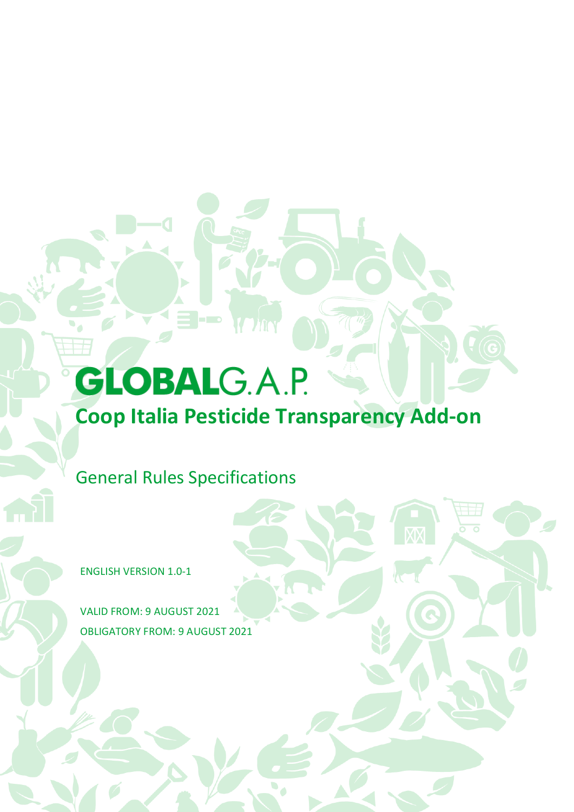# **GLOBALG.A.P.**

# **Coop Italia Pesticide Transparency Add-on**

General Rules Specifications

ENGLISH VERSION 1.0-1

VALID FROM: 9 AUGUST 2021 OBLIGATORY FROM: 9 AUGUST 2021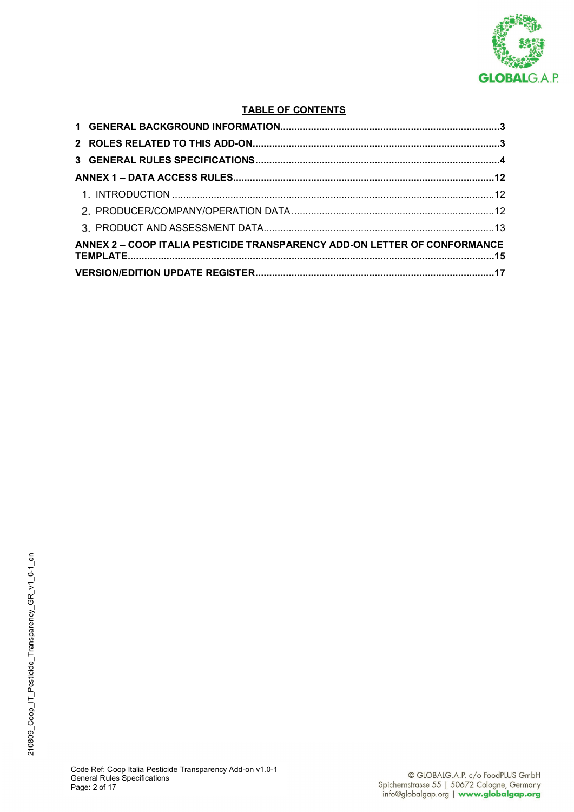

### **TABLE OF CONTENTS**

| ANNEX 2 - COOP ITALIA PESTICIDE TRANSPARENCY ADD-ON LETTER OF CONFORMANCE |  |
|---------------------------------------------------------------------------|--|
|                                                                           |  |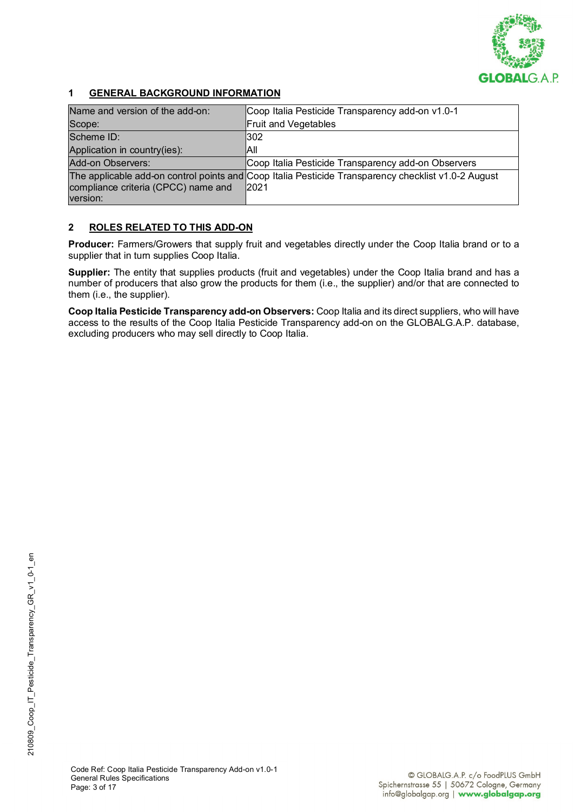

## **1 GENERAL BACKGROUND INFORMATION**

| Name and version of the add-on:     | Coop Italia Pesticide Transparency add-on v1.0-1                                                             |
|-------------------------------------|--------------------------------------------------------------------------------------------------------------|
| Scope:                              | Fruit and Vegetables                                                                                         |
| Scheme ID:                          | 302                                                                                                          |
| Application in country(ies):        | laii                                                                                                         |
| Add-on Observers:                   | Coop Italia Pesticide Transparency add-on Observers                                                          |
| compliance criteria (CPCC) name and | The applicable add-on control points and Coop Italia Pesticide Transparency checklist v1.0-2 August<br> 2021 |
| version:                            |                                                                                                              |

### **2 ROLES RELATED TO THIS ADD-ON**

Producer: Farmers/Growers that supply fruit and vegetables directly under the Coop Italia brand or to a supplier that in turn supplies Coop Italia.

**Supplier:** The entity that supplies products (fruit and vegetables) under the Coop Italia brand and has a number of producers that also grow the products for them (i.e., the supplier) and/or that are connected to them (i.e., the supplier).

**Coop Italia Pesticide Transparency add-on Observers:** Coop Italia and its direct suppliers, who will have access to the results of the Coop Italia Pesticide Transparency add-on on the GLOBALG.A.P. database, excluding producers who may sell directly to Coop Italia.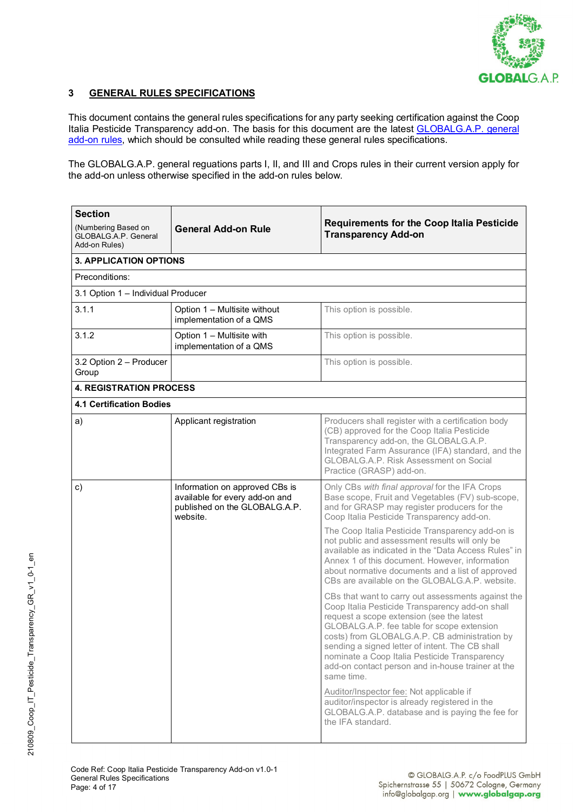

#### **3 GENERAL RULES SPECIFICATIONS**

This document contains the general rules specifications for any party seeking certification against the Coop Italia Pesticide Transparency add-on. The basis for this document are the latest **GLOBALG.A.P.** general [add-on rules,](https://www.globalgap.org/.content/.galleries/documents/140616_gg_add-on_GR_V1-0_en.pdf) which should be consulted while reading these general rules specifications.

The GLOBALG.A.P. general reguations parts I, II, and III and Crops rules in their current version apply for the add-on unless otherwise specified in the add-on rules below.

| <b>Section</b><br>(Numbering Based on<br>GLOBALG.A.P. General<br>Add-on Rules) | <b>Requirements for the Coop Italia Pesticide</b><br><b>General Add-on Rule</b><br><b>Transparency Add-on</b> |                                                                                                                                                                                                                                                                                                                                                                                                                                                                                                                                                                                                                                                                                                                                                                                                                                                                                                                                                                                                                                                                                                                          |  |
|--------------------------------------------------------------------------------|---------------------------------------------------------------------------------------------------------------|--------------------------------------------------------------------------------------------------------------------------------------------------------------------------------------------------------------------------------------------------------------------------------------------------------------------------------------------------------------------------------------------------------------------------------------------------------------------------------------------------------------------------------------------------------------------------------------------------------------------------------------------------------------------------------------------------------------------------------------------------------------------------------------------------------------------------------------------------------------------------------------------------------------------------------------------------------------------------------------------------------------------------------------------------------------------------------------------------------------------------|--|
| <b>3. APPLICATION OPTIONS</b>                                                  |                                                                                                               |                                                                                                                                                                                                                                                                                                                                                                                                                                                                                                                                                                                                                                                                                                                                                                                                                                                                                                                                                                                                                                                                                                                          |  |
| Preconditions:                                                                 |                                                                                                               |                                                                                                                                                                                                                                                                                                                                                                                                                                                                                                                                                                                                                                                                                                                                                                                                                                                                                                                                                                                                                                                                                                                          |  |
| 3.1 Option 1 - Individual Producer                                             |                                                                                                               |                                                                                                                                                                                                                                                                                                                                                                                                                                                                                                                                                                                                                                                                                                                                                                                                                                                                                                                                                                                                                                                                                                                          |  |
| 3.1.1                                                                          | Option 1 - Multisite without<br>implementation of a QMS                                                       | This option is possible.                                                                                                                                                                                                                                                                                                                                                                                                                                                                                                                                                                                                                                                                                                                                                                                                                                                                                                                                                                                                                                                                                                 |  |
| 3.1.2                                                                          | Option 1 - Multisite with<br>implementation of a QMS                                                          | This option is possible.                                                                                                                                                                                                                                                                                                                                                                                                                                                                                                                                                                                                                                                                                                                                                                                                                                                                                                                                                                                                                                                                                                 |  |
| 3.2 Option 2 - Producer<br>Group                                               |                                                                                                               | This option is possible.                                                                                                                                                                                                                                                                                                                                                                                                                                                                                                                                                                                                                                                                                                                                                                                                                                                                                                                                                                                                                                                                                                 |  |
| <b>4. REGISTRATION PROCESS</b>                                                 |                                                                                                               |                                                                                                                                                                                                                                                                                                                                                                                                                                                                                                                                                                                                                                                                                                                                                                                                                                                                                                                                                                                                                                                                                                                          |  |
| <b>4.1 Certification Bodies</b>                                                |                                                                                                               |                                                                                                                                                                                                                                                                                                                                                                                                                                                                                                                                                                                                                                                                                                                                                                                                                                                                                                                                                                                                                                                                                                                          |  |
| a)                                                                             | Applicant registration                                                                                        | Producers shall register with a certification body<br>(CB) approved for the Coop Italia Pesticide<br>Transparency add-on, the GLOBALG.A.P.<br>Integrated Farm Assurance (IFA) standard, and the<br>GLOBALG.A.P. Risk Assessment on Social<br>Practice (GRASP) add-on.                                                                                                                                                                                                                                                                                                                                                                                                                                                                                                                                                                                                                                                                                                                                                                                                                                                    |  |
| $\mathsf{c})$                                                                  | Information on approved CBs is<br>available for every add-on and<br>published on the GLOBALG.A.P.<br>website. | Only CBs with final approval for the IFA Crops<br>Base scope, Fruit and Vegetables (FV) sub-scope,<br>and for GRASP may register producers for the<br>Coop Italia Pesticide Transparency add-on.<br>The Coop Italia Pesticide Transparency add-on is<br>not public and assessment results will only be<br>available as indicated in the "Data Access Rules" in<br>Annex 1 of this document. However, information<br>about normative documents and a list of approved<br>CBs are available on the GLOBALG.A.P. website.<br>CBs that want to carry out assessments against the<br>Coop Italia Pesticide Transparency add-on shall<br>request a scope extension (see the latest<br>GLOBALG.A.P. fee table for scope extension<br>costs) from GLOBALG.A.P. CB administration by<br>sending a signed letter of intent. The CB shall<br>nominate a Coop Italia Pesticide Transparency<br>add-on contact person and in-house trainer at the<br>same time.<br>Auditor/Inspector fee: Not applicable if<br>auditor/inspector is already registered in the<br>GLOBALG.A.P. database and is paying the fee for<br>the IFA standard. |  |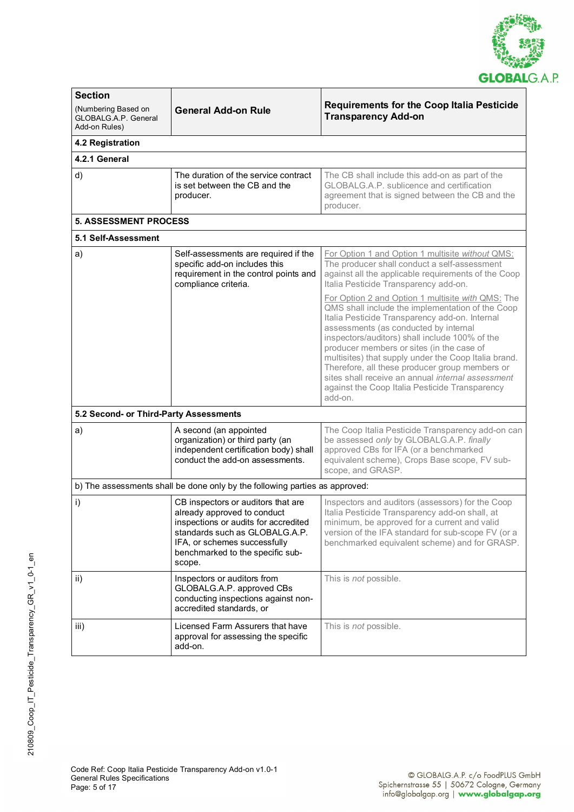

| <b>Section</b>                                               |                                                                                                                                                                                                                                                    |                                                                                                                                                                                                                                                                                                                                                                                                                                                                                                                             |  |  |
|--------------------------------------------------------------|----------------------------------------------------------------------------------------------------------------------------------------------------------------------------------------------------------------------------------------------------|-----------------------------------------------------------------------------------------------------------------------------------------------------------------------------------------------------------------------------------------------------------------------------------------------------------------------------------------------------------------------------------------------------------------------------------------------------------------------------------------------------------------------------|--|--|
| (Numbering Based on<br>GLOBALG.A.P. General<br>Add-on Rules) | <b>General Add-on Rule</b>                                                                                                                                                                                                                         | <b>Requirements for the Coop Italia Pesticide</b><br><b>Transparency Add-on</b>                                                                                                                                                                                                                                                                                                                                                                                                                                             |  |  |
| 4.2 Registration                                             |                                                                                                                                                                                                                                                    |                                                                                                                                                                                                                                                                                                                                                                                                                                                                                                                             |  |  |
| 4.2.1 General                                                |                                                                                                                                                                                                                                                    |                                                                                                                                                                                                                                                                                                                                                                                                                                                                                                                             |  |  |
| d)                                                           | The duration of the service contract<br>The CB shall include this add-on as part of the<br>is set between the CB and the<br>GLOBALG.A.P. sublicence and certification<br>producer.<br>agreement that is signed between the CB and the<br>producer. |                                                                                                                                                                                                                                                                                                                                                                                                                                                                                                                             |  |  |
| <b>5. ASSESSMENT PROCESS</b>                                 |                                                                                                                                                                                                                                                    |                                                                                                                                                                                                                                                                                                                                                                                                                                                                                                                             |  |  |
| 5.1 Self-Assessment                                          |                                                                                                                                                                                                                                                    |                                                                                                                                                                                                                                                                                                                                                                                                                                                                                                                             |  |  |
| a)                                                           | Self-assessments are required if the<br>specific add-on includes this<br>requirement in the control points and<br>compliance criteria.                                                                                                             | For Option 1 and Option 1 multisite without QMS:<br>The producer shall conduct a self-assessment<br>against all the applicable requirements of the Coop<br>Italia Pesticide Transparency add-on.                                                                                                                                                                                                                                                                                                                            |  |  |
|                                                              |                                                                                                                                                                                                                                                    | For Option 2 and Option 1 multisite with QMS: The<br>QMS shall include the implementation of the Coop<br>Italia Pesticide Transparency add-on. Internal<br>assessments (as conducted by internal<br>inspectors/auditors) shall include 100% of the<br>producer members or sites (in the case of<br>multisites) that supply under the Coop Italia brand.<br>Therefore, all these producer group members or<br>sites shall receive an annual internal assessment<br>against the Coop Italia Pesticide Transparency<br>add-on. |  |  |
| 5.2 Second- or Third-Party Assessments                       |                                                                                                                                                                                                                                                    |                                                                                                                                                                                                                                                                                                                                                                                                                                                                                                                             |  |  |
| a)                                                           | A second (an appointed<br>organization) or third party (an<br>independent certification body) shall<br>conduct the add-on assessments.                                                                                                             | The Coop Italia Pesticide Transparency add-on can<br>be assessed only by GLOBALG.A.P. finally<br>approved CBs for IFA (or a benchmarked<br>equivalent scheme), Crops Base scope, FV sub-<br>scope, and GRASP.                                                                                                                                                                                                                                                                                                               |  |  |
|                                                              | b) The assessments shall be done only by the following parties as approved:                                                                                                                                                                        |                                                                                                                                                                                                                                                                                                                                                                                                                                                                                                                             |  |  |
| i)                                                           | CB inspectors or auditors that are<br>already approved to conduct<br>inspections or audits for accredited<br>standards such as GLOBALG.A.P.<br>IFA, or schemes successfully<br>benchmarked to the specific sub-<br>scope.                          | Inspectors and auditors (assessors) for the Coop<br>Italia Pesticide Transparency add-on shall, at<br>minimum, be approved for a current and valid<br>version of the IFA standard for sub-scope FV (or a<br>benchmarked equivalent scheme) and for GRASP.                                                                                                                                                                                                                                                                   |  |  |
| ii)                                                          | Inspectors or auditors from<br>GLOBALG.A.P. approved CBs<br>conducting inspections against non-<br>accredited standards, or                                                                                                                        | This is <i>not</i> possible.                                                                                                                                                                                                                                                                                                                                                                                                                                                                                                |  |  |
| iii)                                                         | Licensed Farm Assurers that have<br>approval for assessing the specific<br>add-on.                                                                                                                                                                 | This is <i>not</i> possible.                                                                                                                                                                                                                                                                                                                                                                                                                                                                                                |  |  |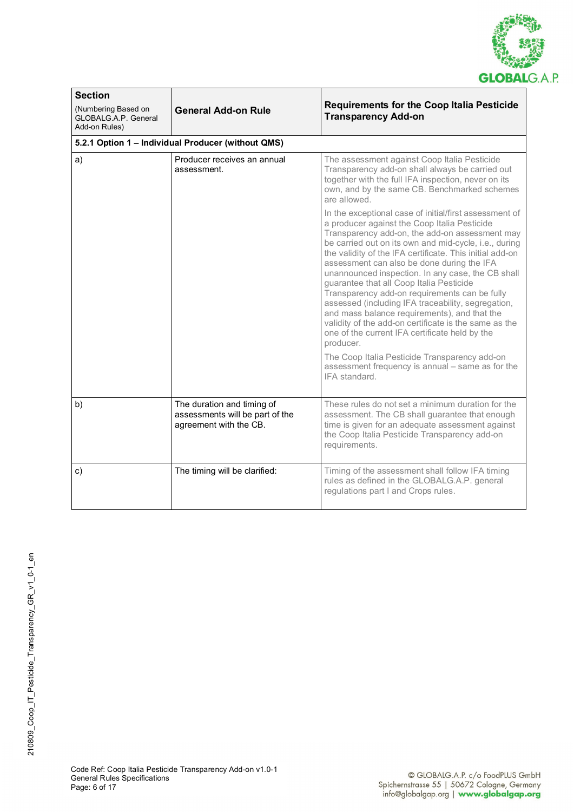

| <b>Section</b><br>(Numbering Based on<br><b>GLOBALG.A.P. General</b><br>Add-on Rules) | <b>General Add-on Rule</b>                                                              | <b>Requirements for the Coop Italia Pesticide</b><br><b>Transparency Add-on</b>                                                                                                                                                                                                                                                                                                                                                                                                                                                                                                                                                                                                                             |
|---------------------------------------------------------------------------------------|-----------------------------------------------------------------------------------------|-------------------------------------------------------------------------------------------------------------------------------------------------------------------------------------------------------------------------------------------------------------------------------------------------------------------------------------------------------------------------------------------------------------------------------------------------------------------------------------------------------------------------------------------------------------------------------------------------------------------------------------------------------------------------------------------------------------|
|                                                                                       | 5.2.1 Option 1 - Individual Producer (without QMS)                                      |                                                                                                                                                                                                                                                                                                                                                                                                                                                                                                                                                                                                                                                                                                             |
| a)                                                                                    | Producer receives an annual<br>assessment.                                              | The assessment against Coop Italia Pesticide<br>Transparency add-on shall always be carried out<br>together with the full IFA inspection, never on its<br>own, and by the same CB. Benchmarked schemes<br>are allowed.                                                                                                                                                                                                                                                                                                                                                                                                                                                                                      |
|                                                                                       |                                                                                         | In the exceptional case of initial/first assessment of<br>a producer against the Coop Italia Pesticide<br>Transparency add-on, the add-on assessment may<br>be carried out on its own and mid-cycle, i.e., during<br>the validity of the IFA certificate. This initial add-on<br>assessment can also be done during the IFA<br>unannounced inspection. In any case, the CB shall<br>guarantee that all Coop Italia Pesticide<br>Transparency add-on requirements can be fully<br>assessed (including IFA traceability, segregation,<br>and mass balance requirements), and that the<br>validity of the add-on certificate is the same as the<br>one of the current IFA certificate held by the<br>producer. |
|                                                                                       |                                                                                         | The Coop Italia Pesticide Transparency add-on<br>assessment frequency is annual - same as for the<br>IFA standard.                                                                                                                                                                                                                                                                                                                                                                                                                                                                                                                                                                                          |
| b)                                                                                    | The duration and timing of<br>assessments will be part of the<br>agreement with the CB. | These rules do not set a minimum duration for the<br>assessment. The CB shall guarantee that enough<br>time is given for an adequate assessment against<br>the Coop Italia Pesticide Transparency add-on<br>requirements.                                                                                                                                                                                                                                                                                                                                                                                                                                                                                   |
| C)                                                                                    | The timing will be clarified:                                                           | Timing of the assessment shall follow IFA timing<br>rules as defined in the GLOBALG.A.P. general<br>regulations part I and Crops rules.                                                                                                                                                                                                                                                                                                                                                                                                                                                                                                                                                                     |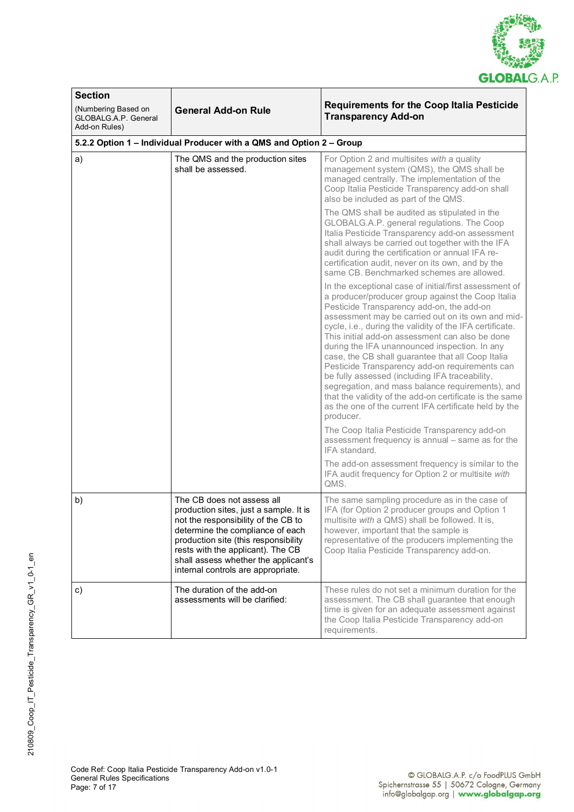

| <b>Section</b>                                                      |                                                                                                                                                                                                                                                                                                            |                                                                                                                                                                                                                                                                                                                                                                                                                                                                                                                                                                                                                                                                                                                             |  |
|---------------------------------------------------------------------|------------------------------------------------------------------------------------------------------------------------------------------------------------------------------------------------------------------------------------------------------------------------------------------------------------|-----------------------------------------------------------------------------------------------------------------------------------------------------------------------------------------------------------------------------------------------------------------------------------------------------------------------------------------------------------------------------------------------------------------------------------------------------------------------------------------------------------------------------------------------------------------------------------------------------------------------------------------------------------------------------------------------------------------------------|--|
| (Numbering Based on<br><b>GLOBALG A.P. General</b><br>Add-on Rules) | <b>Requirements for the Coop Italia Pesticide</b><br><b>General Add-on Rule</b><br><b>Transparency Add-on</b>                                                                                                                                                                                              |                                                                                                                                                                                                                                                                                                                                                                                                                                                                                                                                                                                                                                                                                                                             |  |
|                                                                     | 5.2.2 Option 1 - Individual Producer with a QMS and Option 2 - Group                                                                                                                                                                                                                                       |                                                                                                                                                                                                                                                                                                                                                                                                                                                                                                                                                                                                                                                                                                                             |  |
| a)                                                                  | The QMS and the production sites<br>shall be assessed.                                                                                                                                                                                                                                                     | For Option 2 and multisites with a quality<br>management system (QMS), the QMS shall be<br>managed centrally. The implementation of the<br>Coop Italia Pesticide Transparency add-on shall<br>also be included as part of the QMS.                                                                                                                                                                                                                                                                                                                                                                                                                                                                                          |  |
|                                                                     |                                                                                                                                                                                                                                                                                                            | The QMS shall be audited as stipulated in the<br>GLOBALG.A.P. general regulations. The Coop<br>Italia Pesticide Transparency add-on assessment<br>shall always be carried out together with the IFA<br>audit during the certification or annual IFA re-<br>certification audit, never on its own, and by the<br>same CB. Benchmarked schemes are allowed.                                                                                                                                                                                                                                                                                                                                                                   |  |
|                                                                     |                                                                                                                                                                                                                                                                                                            | In the exceptional case of initial/first assessment of<br>a producer/producer group against the Coop Italia<br>Pesticide Transparency add-on, the add-on<br>assessment may be carried out on its own and mid-<br>cycle, i.e., during the validity of the IFA certificate.<br>This initial add-on assessment can also be done<br>during the IFA unannounced inspection. In any<br>case, the CB shall guarantee that all Coop Italia<br>Pesticide Transparency add-on requirements can<br>be fully assessed (including IFA traceability,<br>segregation, and mass balance requirements), and<br>that the validity of the add-on certificate is the same<br>as the one of the current IFA certificate held by the<br>producer. |  |
|                                                                     |                                                                                                                                                                                                                                                                                                            | The Coop Italia Pesticide Transparency add-on<br>assessment frequency is annual – same as for the<br>IFA standard.                                                                                                                                                                                                                                                                                                                                                                                                                                                                                                                                                                                                          |  |
|                                                                     |                                                                                                                                                                                                                                                                                                            | The add-on assessment frequency is similar to the<br>IFA audit frequency for Option 2 or multisite with<br>QMS.                                                                                                                                                                                                                                                                                                                                                                                                                                                                                                                                                                                                             |  |
| b)                                                                  | The CB does not assess all<br>production sites, just a sample. It is<br>not the responsibility of the CB to<br>determine the compliance of each<br>production site (this responsibility<br>rests with the applicant). The CB<br>shall assess whether the applicant's<br>internal controls are appropriate. | The same sampling procedure as in the case of<br>IFA (for Option 2 producer groups and Option 1<br>multisite with a QMS) shall be followed. It is,<br>however, important that the sample is<br>representative of the producers implementing the<br>Coop Italia Pesticide Transparency add-on.                                                                                                                                                                                                                                                                                                                                                                                                                               |  |
| c)                                                                  | The duration of the add-on<br>assessments will be clarified:                                                                                                                                                                                                                                               | These rules do not set a minimum duration for the<br>assessment. The CB shall guarantee that enough<br>time is given for an adequate assessment against<br>the Coop Italia Pesticide Transparency add-on<br>requirements.                                                                                                                                                                                                                                                                                                                                                                                                                                                                                                   |  |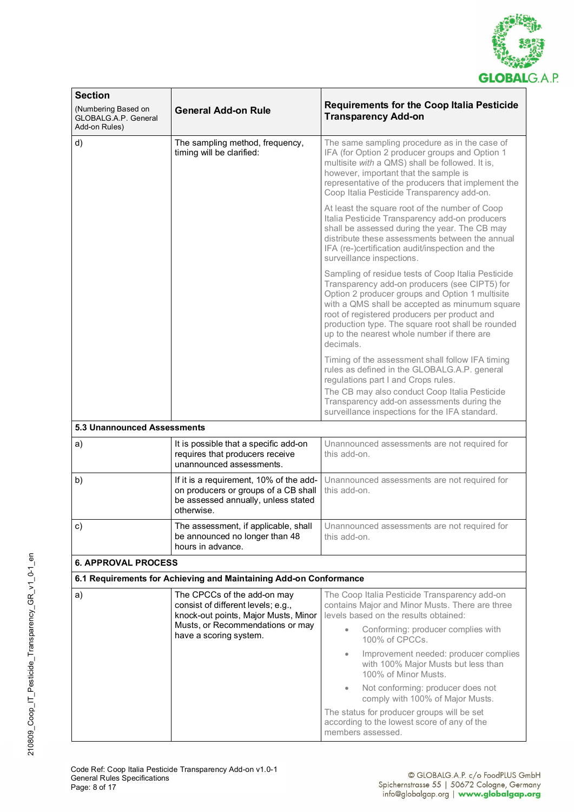

| <b>Section</b>                                                      |                                                                                                                                      |                                                                                                                                                                                                                                                                                                                                                                           |  |
|---------------------------------------------------------------------|--------------------------------------------------------------------------------------------------------------------------------------|---------------------------------------------------------------------------------------------------------------------------------------------------------------------------------------------------------------------------------------------------------------------------------------------------------------------------------------------------------------------------|--|
| (Numbering Based on<br><b>GLOBALG A.P. General</b><br>Add-on Rules) | <b>General Add-on Rule</b>                                                                                                           | <b>Requirements for the Coop Italia Pesticide</b><br><b>Transparency Add-on</b>                                                                                                                                                                                                                                                                                           |  |
| d)                                                                  | The sampling method, frequency,<br>timing will be clarified:                                                                         | The same sampling procedure as in the case of<br>IFA (for Option 2 producer groups and Option 1<br>multisite with a QMS) shall be followed. It is,<br>however, important that the sample is<br>representative of the producers that implement the<br>Coop Italia Pesticide Transparency add-on.                                                                           |  |
|                                                                     |                                                                                                                                      | At least the square root of the number of Coop<br>Italia Pesticide Transparency add-on producers<br>shall be assessed during the year. The CB may<br>distribute these assessments between the annual<br>IFA (re-)certification audit/inspection and the<br>surveillance inspections.                                                                                      |  |
|                                                                     |                                                                                                                                      | Sampling of residue tests of Coop Italia Pesticide<br>Transparency add-on producers (see CIPT5) for<br>Option 2 producer groups and Option 1 multisite<br>with a QMS shall be accepted as minumum square<br>root of registered producers per product and<br>production type. The square root shall be rounded<br>up to the nearest whole number if there are<br>decimals. |  |
|                                                                     |                                                                                                                                      | Timing of the assessment shall follow IFA timing<br>rules as defined in the GLOBALG.A.P. general<br>regulations part I and Crops rules.<br>The CB may also conduct Coop Italia Pesticide<br>Transparency add-on assessments during the<br>surveillance inspections for the IFA standard.                                                                                  |  |
| <b>5.3 Unannounced Assessments</b>                                  |                                                                                                                                      |                                                                                                                                                                                                                                                                                                                                                                           |  |
| a)                                                                  | It is possible that a specific add-on<br>requires that producers receive<br>unannounced assessments.                                 | Unannounced assessments are not required for<br>this add-on.                                                                                                                                                                                                                                                                                                              |  |
| b)                                                                  | If it is a requirement, 10% of the add-<br>on producers or groups of a CB shall<br>be assessed annually, unless stated<br>otherwise. | Unannounced assessments are not required for<br>this add-on.                                                                                                                                                                                                                                                                                                              |  |
| c)                                                                  | The assessment, if applicable, shall<br>be announced no longer than 48<br>hours in advance.                                          | Unannounced assessments are not required for<br>this add-on.                                                                                                                                                                                                                                                                                                              |  |
| <b>6. APPROVAL PROCESS</b>                                          |                                                                                                                                      |                                                                                                                                                                                                                                                                                                                                                                           |  |
|                                                                     | 6.1 Requirements for Achieving and Maintaining Add-on Conformance                                                                    |                                                                                                                                                                                                                                                                                                                                                                           |  |
| a)                                                                  | The CPCCs of the add-on may<br>consist of different levels; e.g.,<br>knock-out points, Major Musts, Minor                            | The Coop Italia Pesticide Transparency add-on<br>contains Major and Minor Musts. There are three<br>levels based on the results obtained:                                                                                                                                                                                                                                 |  |
|                                                                     | Musts, or Recommendations or may<br>have a scoring system.                                                                           | Conforming: producer complies with<br>100% of CPCCs.                                                                                                                                                                                                                                                                                                                      |  |
|                                                                     |                                                                                                                                      | Improvement needed: producer complies<br>$\bullet$<br>with 100% Major Musts but less than<br>100% of Minor Musts.                                                                                                                                                                                                                                                         |  |
|                                                                     |                                                                                                                                      | Not conforming: producer does not<br>$\bullet$<br>comply with 100% of Major Musts.                                                                                                                                                                                                                                                                                        |  |
|                                                                     |                                                                                                                                      | The status for producer groups will be set<br>according to the lowest score of any of the<br>members assessed.                                                                                                                                                                                                                                                            |  |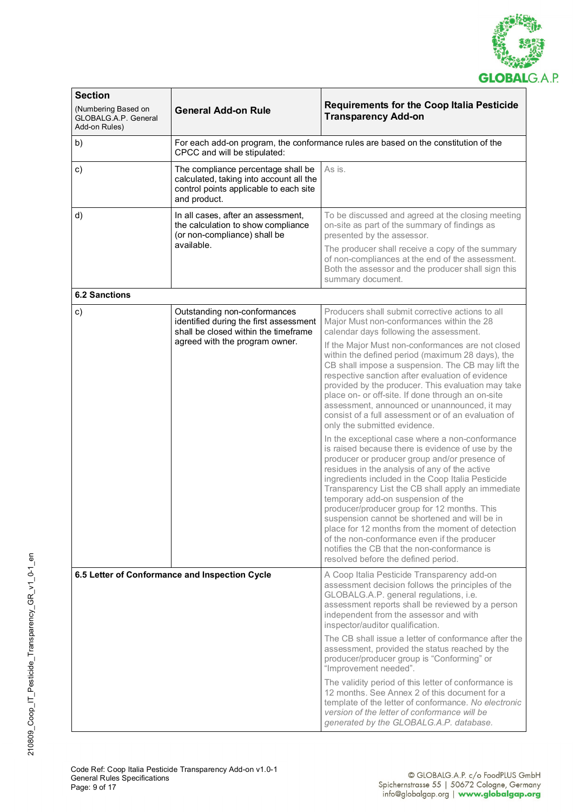

| <b>Section</b>                                               |                                                                                                                                         |                                                                                                                                                                                                                                                                                                                                                                                                                                                                                                                                                                                                                                                 |
|--------------------------------------------------------------|-----------------------------------------------------------------------------------------------------------------------------------------|-------------------------------------------------------------------------------------------------------------------------------------------------------------------------------------------------------------------------------------------------------------------------------------------------------------------------------------------------------------------------------------------------------------------------------------------------------------------------------------------------------------------------------------------------------------------------------------------------------------------------------------------------|
| (Numbering Based on<br>GLOBALG.A.P. General<br>Add-on Rules) | <b>General Add-on Rule</b>                                                                                                              | <b>Requirements for the Coop Italia Pesticide</b><br><b>Transparency Add-on</b>                                                                                                                                                                                                                                                                                                                                                                                                                                                                                                                                                                 |
| b)                                                           | CPCC and will be stipulated:                                                                                                            | For each add-on program, the conformance rules are based on the constitution of the                                                                                                                                                                                                                                                                                                                                                                                                                                                                                                                                                             |
| c)                                                           | The compliance percentage shall be<br>calculated, taking into account all the<br>control points applicable to each site<br>and product. | As is.                                                                                                                                                                                                                                                                                                                                                                                                                                                                                                                                                                                                                                          |
| d)                                                           | In all cases, after an assessment,<br>the calculation to show compliance<br>(or non-compliance) shall be                                | To be discussed and agreed at the closing meeting<br>on-site as part of the summary of findings as<br>presented by the assessor.                                                                                                                                                                                                                                                                                                                                                                                                                                                                                                                |
|                                                              | available.                                                                                                                              | The producer shall receive a copy of the summary<br>of non-compliances at the end of the assessment.<br>Both the assessor and the producer shall sign this<br>summary document.                                                                                                                                                                                                                                                                                                                                                                                                                                                                 |
| <b>6.2 Sanctions</b>                                         |                                                                                                                                         |                                                                                                                                                                                                                                                                                                                                                                                                                                                                                                                                                                                                                                                 |
| c)                                                           | Outstanding non-conformances<br>identified during the first assessment<br>shall be closed within the timeframe                          | Producers shall submit corrective actions to all<br>Major Must non-conformances within the 28<br>calendar days following the assessment.                                                                                                                                                                                                                                                                                                                                                                                                                                                                                                        |
|                                                              | agreed with the program owner.                                                                                                          | If the Major Must non-conformances are not closed<br>within the defined period (maximum 28 days), the<br>CB shall impose a suspension. The CB may lift the<br>respective sanction after evaluation of evidence<br>provided by the producer. This evaluation may take<br>place on- or off-site. If done through an on-site<br>assessment, announced or unannounced, it may<br>consist of a full assessment or of an evaluation of<br>only the submitted evidence.                                                                                                                                                                                |
|                                                              |                                                                                                                                         | In the exceptional case where a non-conformance<br>is raised because there is evidence of use by the<br>producer or producer group and/or presence of<br>residues in the analysis of any of the active<br>ingredients included in the Coop Italia Pesticide<br>Transparency List the CB shall apply an immediate<br>temporary add-on suspension of the<br>producer/producer group for 12 months. This<br>suspension cannot be shortened and will be in<br>place for 12 months from the moment of detection<br>of the non-conformance even if the producer<br>notifies the CB that the non-conformance is<br>resolved before the defined period. |
|                                                              | 6.5 Letter of Conformance and Inspection Cycle                                                                                          | A Coop Italia Pesticide Transparency add-on<br>assessment decision follows the principles of the<br>GLOBALG.A.P. general regulations, i.e.<br>assessment reports shall be reviewed by a person<br>independent from the assessor and with<br>inspector/auditor qualification.                                                                                                                                                                                                                                                                                                                                                                    |
|                                                              |                                                                                                                                         | The CB shall issue a letter of conformance after the<br>assessment, provided the status reached by the<br>producer/producer group is "Conforming" or<br>"Improvement needed".                                                                                                                                                                                                                                                                                                                                                                                                                                                                   |
|                                                              |                                                                                                                                         | The validity period of this letter of conformance is<br>12 months. See Annex 2 of this document for a<br>template of the letter of conformance. No electronic<br>version of the letter of conformance will be<br>generated by the GLOBALG.A.P. database.                                                                                                                                                                                                                                                                                                                                                                                        |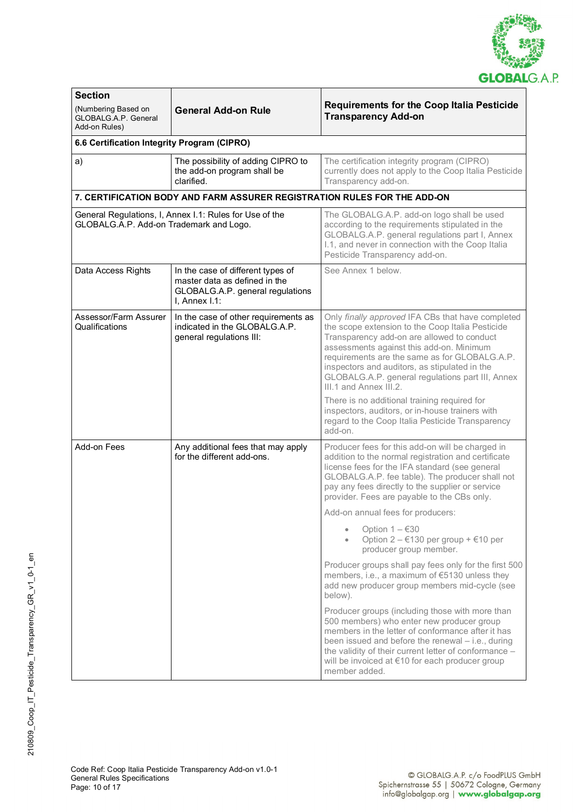

| <b>Section</b>                                                      |                                                                                                                            |                                                                                                                                                                                                                                                                                                                                                                                                                                                                                    |  |
|---------------------------------------------------------------------|----------------------------------------------------------------------------------------------------------------------------|------------------------------------------------------------------------------------------------------------------------------------------------------------------------------------------------------------------------------------------------------------------------------------------------------------------------------------------------------------------------------------------------------------------------------------------------------------------------------------|--|
| (Numbering Based on<br><b>GLOBALG A.P. General</b><br>Add-on Rules) | <b>General Add-on Rule</b>                                                                                                 | <b>Requirements for the Coop Italia Pesticide</b><br><b>Transparency Add-on</b>                                                                                                                                                                                                                                                                                                                                                                                                    |  |
| 6.6 Certification Integrity Program (CIPRO)                         |                                                                                                                            |                                                                                                                                                                                                                                                                                                                                                                                                                                                                                    |  |
| a)                                                                  | The possibility of adding CIPRO to<br>the add-on program shall be<br>clarified.                                            | The certification integrity program (CIPRO)<br>currently does not apply to the Coop Italia Pesticide<br>Transparency add-on.                                                                                                                                                                                                                                                                                                                                                       |  |
|                                                                     | 7. CERTIFICATION BODY AND FARM ASSURER REGISTRATION RULES FOR THE ADD-ON                                                   |                                                                                                                                                                                                                                                                                                                                                                                                                                                                                    |  |
| GLOBALG.A.P. Add-on Trademark and Logo.                             | General Regulations, I, Annex I.1: Rules for Use of the                                                                    | The GLOBALG.A.P. add-on logo shall be used<br>according to the requirements stipulated in the<br>GLOBALG.A.P. general regulations part I, Annex<br>I.1, and never in connection with the Coop Italia<br>Pesticide Transparency add-on.                                                                                                                                                                                                                                             |  |
| Data Access Rights                                                  | In the case of different types of<br>master data as defined in the<br>GLOBALG.A.P. general regulations<br>I, Annex $1.1$ : | See Annex 1 below.                                                                                                                                                                                                                                                                                                                                                                                                                                                                 |  |
| Assessor/Farm Assurer<br>Qualifications                             | In the case of other requirements as<br>indicated in the GLOBALG.A.P.<br>general regulations III:                          | Only finally approved IFA CBs that have completed<br>the scope extension to the Coop Italia Pesticide<br>Transparency add-on are allowed to conduct<br>assessments against this add-on. Minimum<br>requirements are the same as for GLOBALG.A.P.<br>inspectors and auditors, as stipulated in the<br>GLOBALG.A.P. general regulations part III, Annex<br>III.1 and Annex III.2.<br>There is no additional training required for<br>inspectors, auditors, or in-house trainers with |  |
|                                                                     |                                                                                                                            | regard to the Coop Italia Pesticide Transparency<br>add-on.                                                                                                                                                                                                                                                                                                                                                                                                                        |  |
| Add-on Fees                                                         | Any additional fees that may apply<br>for the different add-ons.                                                           | Producer fees for this add-on will be charged in<br>addition to the normal registration and certificate<br>license fees for the IFA standard (see general<br>GLOBALG.A.P. fee table). The producer shall not<br>pay any fees directly to the supplier or service<br>provider. Fees are payable to the CBs only.                                                                                                                                                                    |  |
|                                                                     |                                                                                                                            | Add-on annual fees for producers:                                                                                                                                                                                                                                                                                                                                                                                                                                                  |  |
|                                                                     |                                                                                                                            | Option $1 - 630$<br>Option $2 - 130$ per group + $10$ per<br>producer group member.                                                                                                                                                                                                                                                                                                                                                                                                |  |
|                                                                     |                                                                                                                            | Producer groups shall pay fees only for the first 500<br>members, i.e., a maximum of €5130 unless they<br>add new producer group members mid-cycle (see<br>below).                                                                                                                                                                                                                                                                                                                 |  |
|                                                                     |                                                                                                                            | Producer groups (including those with more than<br>500 members) who enter new producer group<br>members in the letter of conformance after it has<br>been issued and before the renewal - i.e., during<br>the validity of their current letter of conformance -<br>will be invoiced at €10 for each producer group<br>member added.                                                                                                                                                |  |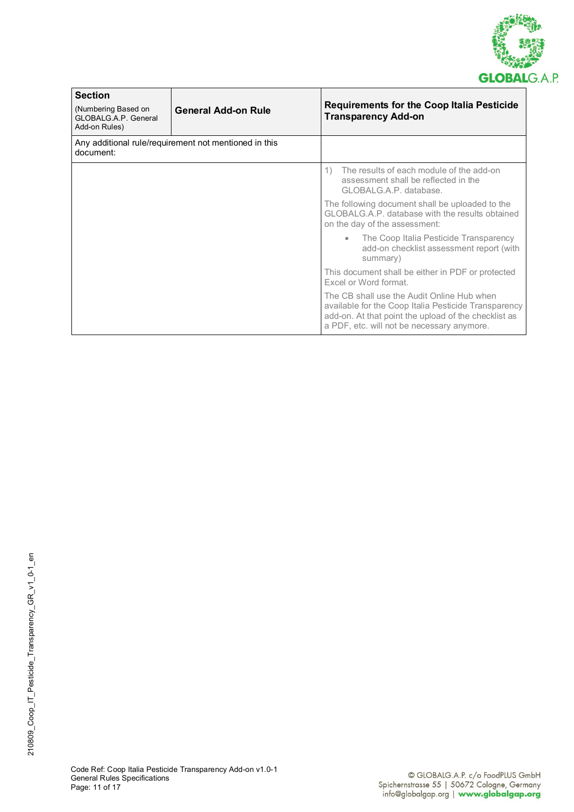

| <b>Section</b><br>(Numbering Based on<br>GLOBALG.A.P. General<br>Add-on Rules) | <b>General Add-on Rule</b>                            | <b>Requirements for the Coop Italia Pesticide</b><br><b>Transparency Add-on</b>                                                                                                                          |
|--------------------------------------------------------------------------------|-------------------------------------------------------|----------------------------------------------------------------------------------------------------------------------------------------------------------------------------------------------------------|
| document:                                                                      | Any additional rule/requirement not mentioned in this |                                                                                                                                                                                                          |
|                                                                                |                                                       | The results of each module of the add-on<br>$\left( \begin{matrix} 1 \end{matrix} \right)$<br>assessment shall be reflected in the<br>GLOBALG.A.P. database.                                             |
|                                                                                |                                                       | The following document shall be uploaded to the<br>GLOBALG.A.P. database with the results obtained<br>on the day of the assessment:                                                                      |
|                                                                                |                                                       | • The Coop Italia Pesticide Transparency<br>add-on checklist assessment report (with<br>summary)                                                                                                         |
|                                                                                |                                                       | This document shall be either in PDF or protected<br>Excel or Word format.                                                                                                                               |
|                                                                                |                                                       | The CB shall use the Audit Online Hub when<br>available for the Coop Italia Pesticide Transparency<br>add-on. At that point the upload of the checklist as<br>a PDF, etc. will not be necessary anymore. |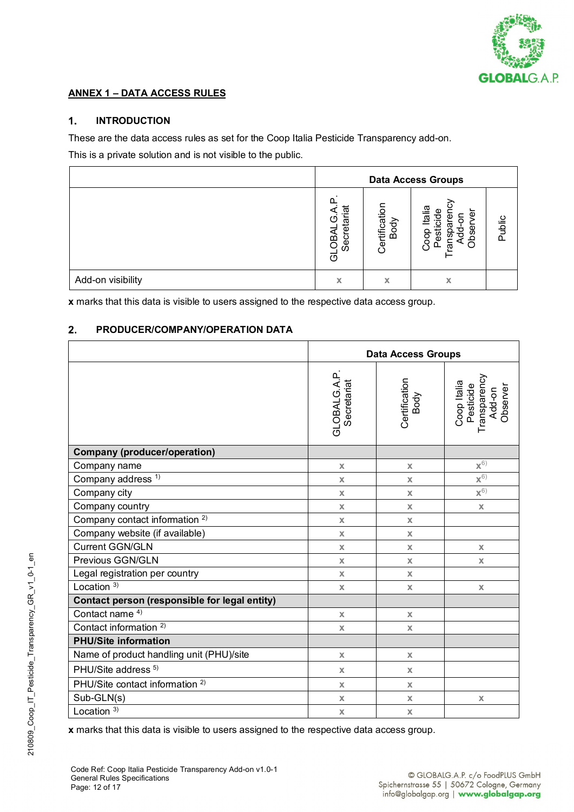

## **ANNEX 1 – DATA ACCESS RULES**

#### $\mathbf{1}$ . **INTRODUCTION**

These are the data access rules as set for the Coop Italia Pesticide Transparency add-on.

This is a private solution and is not visible to the public.

|                   | <b>Data Access Groups</b>                          |                       |                                                                                          |        |
|-------------------|----------------------------------------------------|-----------------------|------------------------------------------------------------------------------------------|--------|
|                   | <u>.ল</u><br>rή<br>etar<br><b>NBO</b><br>Secr<br>ಠ | Certification<br>Body | ia<br>Iai<br>$\overline{\mathbf{v}}$<br>5<br>ত<br>bse<br>횽<br>ळ<br>င္ပိ<br>ă<br>$\Omega$ | Public |
| Add-on visibility | X                                                  | х                     | х                                                                                        |        |

**x** marks that this data is visible to users assigned to the respective data access group.

#### $2.$ **PRODUCER/COMPANY/OPERATION DATA**

|                                               | <b>Data Access Groups</b>         |                           |                                                                |
|-----------------------------------------------|-----------------------------------|---------------------------|----------------------------------------------------------------|
|                                               | <b>GLOBALG.A.P</b><br>Secretariat | Certification<br>Body     | Transparency<br>Coop Italia<br>Pesticide<br>Add-on<br>Observer |
| <b>Company (producer/operation)</b>           |                                   |                           |                                                                |
| Company name                                  | $\mathsf{X}$                      | $\mathsf{X}$              | $\mathbf{X}^{(6)}$                                             |
| Company address <sup>1)</sup>                 | $\mathsf{X}$                      | $\mathsf{X}$              | ${\mathbf x}^{6)}$                                             |
| Company city                                  | $\mathsf{X}$                      | $\mathsf{X}$              | $x^{6}$                                                        |
| Company country                               | $\mathbf x$                       | $\mathbf x$               | $\mathbf x$                                                    |
| Company contact information <sup>2)</sup>     | $\mathbb X$                       | $\mathbb X$               |                                                                |
| Company website (if available)                | $\mathsf{X}$                      | $\mathsf{X}$              |                                                                |
| <b>Current GGN/GLN</b>                        | $\mathbf x$                       | $\mathbf x$               | $\mathbf x$                                                    |
| Previous GGN/GLN                              | $\mathsf{X}$                      | $\mathsf{X}$              | $\mathbb X$                                                    |
| Legal registration per country                | $\mathsf{X}$                      | $\mathbf x$               |                                                                |
| Location $3)$                                 | $\mathbf x$                       | $\mathbf x$               | $\mathsf{X}$                                                   |
| Contact person (responsible for legal entity) |                                   |                           |                                                                |
| Contact name <sup>4)</sup>                    | $\mathbf x$                       | $\boldsymbol{\mathsf{x}}$ |                                                                |
| Contact information <sup>2)</sup>             | $\mathsf{X}$                      | $\mathsf{X}$              |                                                                |
| <b>PHU/Site information</b>                   |                                   |                           |                                                                |
| Name of product handling unit (PHU)/site      | $\mathbf x$                       | $\mathsf{X}$              |                                                                |
| PHU/Site address <sup>5)</sup>                | $\mathbf x$                       | $\mathbf x$               |                                                                |
| PHU/Site contact information <sup>2)</sup>    | $\mathbf x$                       | $\mathbf x$               |                                                                |
| Sub-GLN(s)                                    | $\mathsf{X}$                      | $\mathbb X$               | $\mathbb X$                                                    |
| Location $3)$                                 | $\mathbb X$                       | $\mathbb X$               |                                                                |

**x** marks that this data is visible to users assigned to the respective data access group.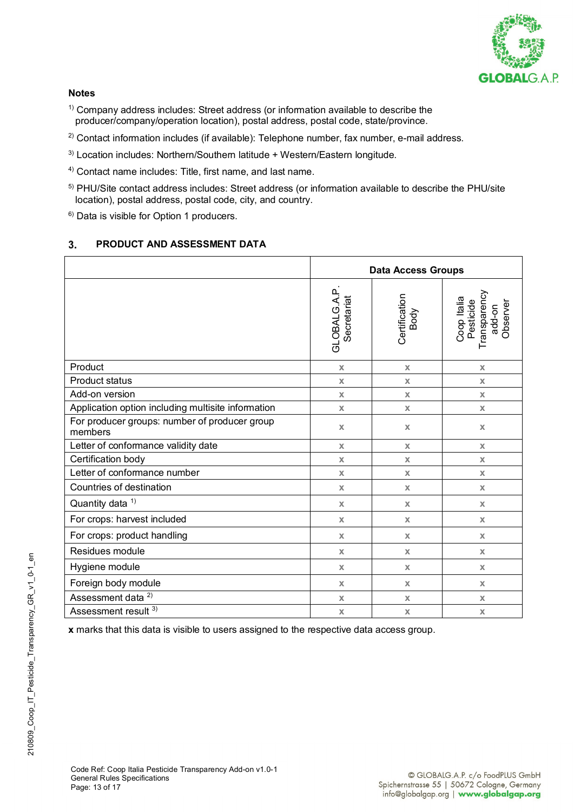

#### **Notes**

- $1)$  Company address includes: Street address (or information available to describe the producer/company/operation location), postal address, postal code, state/province.
- $2)$  Contact information includes (if available): Telephone number, fax number, e-mail address.
- <sup>3)</sup> Location includes: Northern/Southern latitude + Western/Eastern longitude.
- 4) Contact name includes: Title, first name, and last name.
- 5) PHU/Site contact address includes: Street address (or information available to describe the PHU/site location), postal address, postal code, city, and country.
- 6) Data is visible for Option 1 producers.

#### 3. **PRODUCT AND ASSESSMENT DATA**

|                                                          | <b>Data Access Groups</b>   |                       |                                                                |  |  |  |  |  |
|----------------------------------------------------------|-----------------------------|-----------------------|----------------------------------------------------------------|--|--|--|--|--|
|                                                          | GLOBALG.A.P.<br>Secretariat | Certification<br>Body | Coop Italia<br>Pesticide<br>Transparency<br>Observer<br>add-on |  |  |  |  |  |
| Product                                                  | $\boldsymbol{\mathsf{X}}$   | $\mathbf x$           | $\mathsf{x}$                                                   |  |  |  |  |  |
| <b>Product status</b>                                    | $\mathbf x$                 | X                     | X                                                              |  |  |  |  |  |
| Add-on version                                           | $\mathbf x$                 | $\mathbf x$           | $\mathbf x$                                                    |  |  |  |  |  |
| Application option including multisite information       | $\mathsf{X}$                | $\mathsf{X}$          | $\mathsf{X}$                                                   |  |  |  |  |  |
| For producer groups: number of producer group<br>members | $\mathbf x$                 | $\mathbf x$           | $\mathsf X$                                                    |  |  |  |  |  |
| Letter of conformance validity date                      | $\mathbf x$                 | X                     | $\mathsf{X}$                                                   |  |  |  |  |  |
| Certification body                                       | $\mathbf x$                 | X                     | $\mathbf x$                                                    |  |  |  |  |  |
| Letter of conformance number                             | $\mathbf x$                 | $\mathsf{X}$          | $\mathbf{x}$                                                   |  |  |  |  |  |
| Countries of destination                                 | $\mathsf{X}$                | $\mathsf{X}$          | $\mathsf{X}$                                                   |  |  |  |  |  |
| Quantity data <sup>1)</sup>                              | $\mathsf{X}$                | $\mathsf{X}$          | X                                                              |  |  |  |  |  |
| For crops: harvest included                              | $\mathbf x$                 | $\mathbf x$           | $\mathbf{x}$                                                   |  |  |  |  |  |
| For crops: product handling                              | $\mathbf x$                 | $\mathbf x$           | $\mathsf{X}$                                                   |  |  |  |  |  |
| Residues module                                          | $\mathbf x$                 | $\mathsf{X}$          | $\mathbf x$                                                    |  |  |  |  |  |
| Hygiene module                                           | $\mathbf x$                 | X                     | X                                                              |  |  |  |  |  |
| Foreign body module                                      | $\mathbf x$                 | X                     | X                                                              |  |  |  |  |  |
| Assessment data <sup>2)</sup>                            | $\mathbf x$                 | X                     | $\mathbf x$                                                    |  |  |  |  |  |
| Assessment result 3)                                     | $\mathbb X$                 | $\mathbb X$           | $\mathsf X$                                                    |  |  |  |  |  |

**x** marks that this data is visible to users assigned to the respective data access group.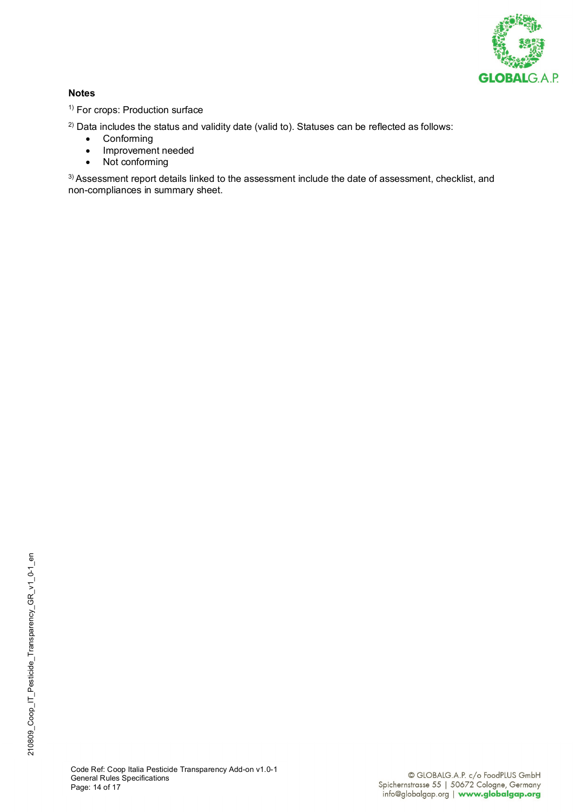

#### **Notes**

<sup>1)</sup> For crops: Production surface

 $2)$  Data includes the status and validity date (valid to). Statuses can be reflected as follows:

- **Conforming**
- Improvement needed
- Not conforming

3) Assessment report details linked to the assessment include the date of assessment, checklist, and non-compliances in summary sheet.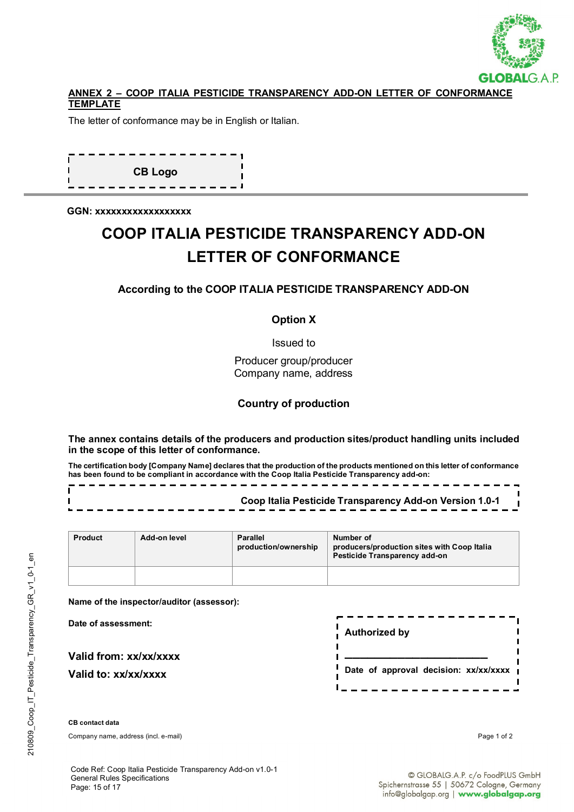

#### **ANNEX 2 – COOP ITALIA PESTICIDE TRANSPARENCY ADD-ON LETTER OF CONFORMANCE TEMPLATE**

The letter of conformance may be in English or Italian.

**CB Logo**

**GGN: xxxxxxxxxxxxxxxxxx**

# **COOP ITALIA PESTICIDE TRANSPARENCY ADD-ON LETTER OF CONFORMANCE**

#### **According to the COOP ITALIA PESTICIDE TRANSPARENCY ADD-ON**

#### **Option X**

Issued to

Producer group/producer Company name, address

#### **Country of production**

**The annex contains details of the producers and production sites/product handling units included in the scope of this letter of conformance.**

**The certification body [Company Name] declares that the production of the products mentioned on this letter of conformance has been found to be compliant in accordance with the Coop Italia Pesticide Transparency add-on:** 

|  |  |  |  |  |  |  |  |  |  |  |  |  |  |  |  |  |  |  |  |  |  | Coop Italia Pesticide Transparency Add-on Version 1.0-1 |
|--|--|--|--|--|--|--|--|--|--|--|--|--|--|--|--|--|--|--|--|--|--|---------------------------------------------------------|
|  |  |  |  |  |  |  |  |  |  |  |  |  |  |  |  |  |  |  |  |  |  |                                                         |

| <b>Product</b> | Add-on level | <b>Parallel</b><br>production/ownership | Number of<br>producers/production sites with Coop Italia<br>Pesticide Transparency add-on |  |  |  |  |  |  |
|----------------|--------------|-----------------------------------------|-------------------------------------------------------------------------------------------|--|--|--|--|--|--|
|                |              |                                         |                                                                                           |  |  |  |  |  |  |

**Name of the inspector/auditor (assessor):** 

**Date of assessment:** 

**Valid from: xx/xx/xxxx Valid to: xx/xx/xxxx**

| <b>Authorized by</b>                  |  |
|---------------------------------------|--|
| Date of approval decision: xx/xx/xxxx |  |

**CB contact data**

Company name, address (incl. e-mail) Page 1 of 2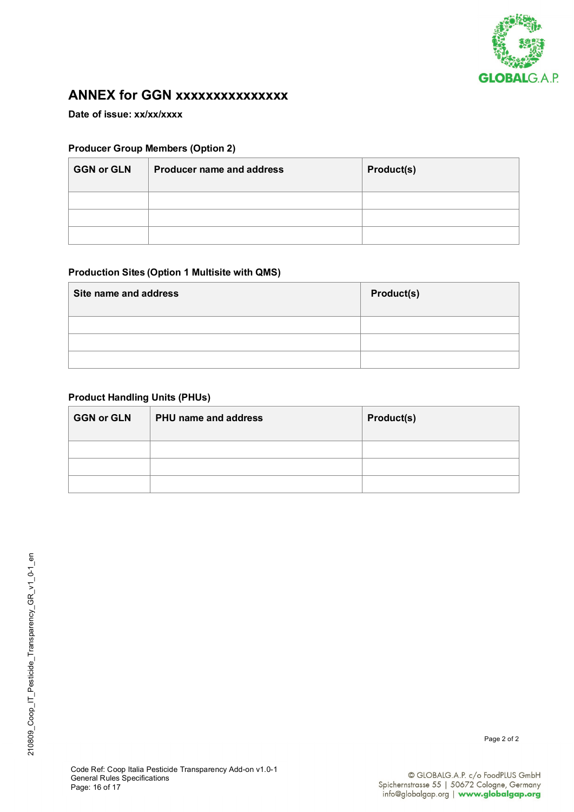

## **ANNEX for GGN xxxxxxxxxxxxxxx**

**Date of issue: xx/xx/xxxx**

#### **Producer Group Members (Option 2)**

| <b>GGN or GLN</b> | <b>Producer name and address</b> | Product(s) |
|-------------------|----------------------------------|------------|
|                   |                                  |            |
|                   |                                  |            |
|                   |                                  |            |

#### **Production Sites (Option 1 Multisite with QMS)**

| Site name and address | Product(s) |
|-----------------------|------------|
|                       |            |
|                       |            |
|                       |            |

#### **Product Handling Units (PHUs)**

| <b>GGN or GLN</b> | PHU name and address | Product(s) |
|-------------------|----------------------|------------|
|                   |                      |            |
|                   |                      |            |
|                   |                      |            |